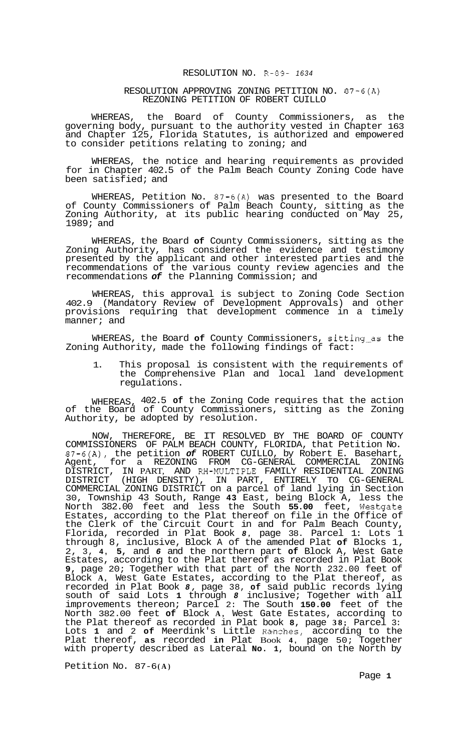## RESOLUTION NO. R-89- *<sup>1634</sup>*

## RESOLUTION APPROVING ZONING PETITION NO. 87-6(A) REZONING PETITION OF ROBERT CUILLO

WHEREAS, the Board of County Commissioners, as the governing body, pursuant to the authority vested in Chapter 163 and Chapter 125, Florida Statutes, is authorized and empowered to consider petitions relating to zoning; and

WHEREAS, the notice and hearing requirements as provided for in Chapter 402.5 of the Palm Beach County Zoning Code have been satisfied; and

WHEREAS, Petition No. 87-6(A) was presented to the Board of County Commissioners of Palm Beach County, sitting as the Zoning Authority, at its public hearing conducted on May 25, 1989; and

WHEREAS, the Board **of** County Commissioners, sitting as the Zoning Authority, has considered the evidence and testimony presented by the applicant and other interested parties and the recommendations of the various county review agencies and the recommendations *of* the Planning Commission; and

WHEREAS, this approval is subject to Zoning Code Section 402.9 (Mandatory Review of Development Approvals) and other provisions requiring that development commence in a timely manner; and

WHEREAS, the Board **of** County Commissioners, sitting-as the Zoning Authority, made the following findings of fact:

1. This proposal is consistent with the requirements of the Comprehensive Plan and local land development regulations.

WHEREAS, 402.5 **of** the Zoning Code requires that the action of the Board of County Commissioners, sitting as the Zoning Authority, be adopted by resolution.

NOW, THEREFORE, BE IT RESOLVED BY THE BOARD OF COUNTY COMMISSIONERS OF PALM BEACH COUNTY, FLORIDA, that Petition No. 87-6(A), the petition *of* ROBERT CUILLO, by Robert E. Basehart, Agent, for a REZONING FROM CG-GENERAL COMMERCIAL ZONING DISTRICT, IN PART, AND RH-MULTIPLE FAMILY RESIDENTIAL ZONING DISTRICT (HIGH DENSITY), IN PART, ENTIRELY TO CG-GENERAL COMMERCIAL ZONING DISTRICT on a parcel of land lying in Section 30, Township 43 South, Range **43** East, being Block A, less the North 382.00 feet and less the South **55.00** feet, Westgate Estates, according to the Plat thereof on file in the Office of the Clerk of the Circuit Court in and for Palm Beach County, Florida, recorded in Plat Book *8,* page 38. Parcel 1: Lots 1 through 8, inclusive, Block A of the amended Plat **of** Blocks 1, 2, 3, **4, 5,** and *6* and the northern part **of** Block A, West Gate Estates, according to the Plat thereof as recorded in Plat Book **9,** page 20; Together with that part of the North 232.00 feet of Block **A,** West Gate Estates, according to the Plat thereof, as recorded in Plat Book *8,* page 38, **of** said public records lying south of said Lots **1** through *8* inclusive; Together with all improvements thereon; Parcel 2: The South **150.00** feet of the North 382.00 feet **of** Block **A,** West Gate Estates, according to the Plat thereof as recorded in Plat book **8,** page **38;** Parcel 3: Lots **1** and 2 **of** Meerdink's Little Ranches, according to the Plat thereof, **as** recorded **in** Plat Book **4,** page 50; Together with property described as Lateral **No. 1,** bound on the North by

Petition No.  $87-6(A)$